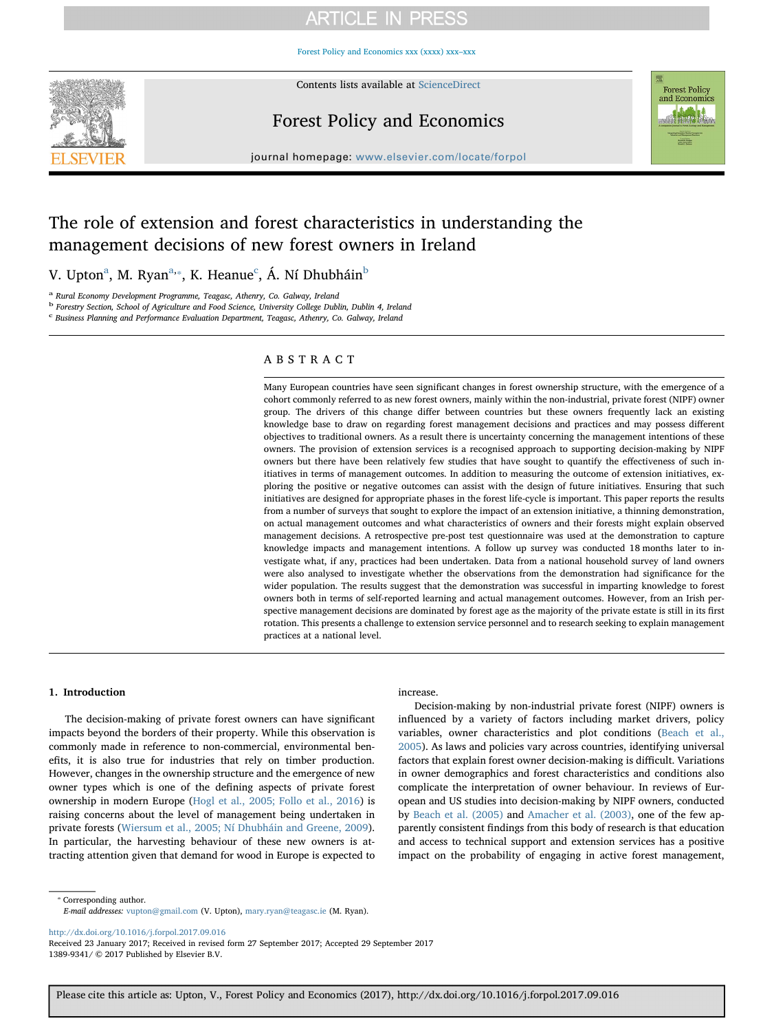# **ARTICLE IN PRESS**

[Forest Policy and Economics xxx \(xxxx\) xxx–xxx](http://dx.doi.org/10.1016/j.forpol.2017.09.016)



Contents lists available at [ScienceDirect](http://www.sciencedirect.com/science/journal/13899341)

# Forest Policy and Economics



journal homepage: [www.elsevier.com/locate/forpol](https://www.elsevier.com/locate/forpol)

# The role of extension and forest characteristics in understanding the management decisions of new forest owners in Ireland

V. Upton $^{\rm a}$  $^{\rm a}$  $^{\rm a}$ , M. Ryan $^{\rm a, *},$  $^{\rm a, *},$  $^{\rm a, *},$  K. Heanue $^{\rm c}$  $^{\rm c}$  $^{\rm c}$ , Á. Ní Dhu[b](#page-0-3)háin $^{\rm b}$ 

<span id="page-0-0"></span><sup>a</sup> Rural Economy Development Programme, Teagasc, Athenry, Co. Galway, Ireland

<span id="page-0-3"></span>b Forestry Section, School of Agriculture and Food Science, University College Dublin, Dublin 4, Ireland

<span id="page-0-2"></span> $\text{c}$  Business Planning and Performance Evaluation Department, Teagasc, Athenry, Co. Galway, Ireland

## ABSTRACT

Many European countries have seen significant changes in forest ownership structure, with the emergence of a cohort commonly referred to as new forest owners, mainly within the non-industrial, private forest (NIPF) owner group. The drivers of this change differ between countries but these owners frequently lack an existing knowledge base to draw on regarding forest management decisions and practices and may possess different objectives to traditional owners. As a result there is uncertainty concerning the management intentions of these owners. The provision of extension services is a recognised approach to supporting decision-making by NIPF owners but there have been relatively few studies that have sought to quantify the effectiveness of such initiatives in terms of management outcomes. In addition to measuring the outcome of extension initiatives, exploring the positive or negative outcomes can assist with the design of future initiatives. Ensuring that such initiatives are designed for appropriate phases in the forest life-cycle is important. This paper reports the results from a number of surveys that sought to explore the impact of an extension initiative, a thinning demonstration, on actual management outcomes and what characteristics of owners and their forests might explain observed management decisions. A retrospective pre-post test questionnaire was used at the demonstration to capture knowledge impacts and management intentions. A follow up survey was conducted 18 months later to investigate what, if any, practices had been undertaken. Data from a national household survey of land owners were also analysed to investigate whether the observations from the demonstration had significance for the wider population. The results suggest that the demonstration was successful in imparting knowledge to forest owners both in terms of self-reported learning and actual management outcomes. However, from an Irish perspective management decisions are dominated by forest age as the majority of the private estate is still in its first rotation. This presents a challenge to extension service personnel and to research seeking to explain management practices at a national level.

## 1. Introduction

The decision-making of private forest owners can have significant impacts beyond the borders of their property. While this observation is commonly made in reference to non-commercial, environmental benefits, it is also true for industries that rely on timber production. However, changes in the ownership structure and the emergence of new owner types which is one of the defining aspects of private forest ownership in modern Europe [\(Hogl et al., 2005; Follo et al., 2016](#page-5-0)) is raising concerns about the level of management being undertaken in private forests [\(Wiersum et al., 2005; Ní Dhubháin and Greene, 2009](#page-5-1)). In particular, the harvesting behaviour of these new owners is attracting attention given that demand for wood in Europe is expected to increase.

Decision-making by non-industrial private forest (NIPF) owners is influenced by a variety of factors including market drivers, policy variables, owner characteristics and plot conditions [\(Beach et al.,](#page-5-2) [2005\)](#page-5-2). As laws and policies vary across countries, identifying universal factors that explain forest owner decision-making is difficult. Variations in owner demographics and forest characteristics and conditions also complicate the interpretation of owner behaviour. In reviews of European and US studies into decision-making by NIPF owners, conducted by [Beach et al. \(2005\)](#page-5-2) and [Amacher et al. \(2003\),](#page-5-3) one of the few apparently consistent findings from this body of research is that education and access to technical support and extension services has a positive impact on the probability of engaging in active forest management,

<span id="page-0-1"></span>⁎ Corresponding author. E-mail addresses: [vupton@gmail.com](mailto:vupton@gmail.com) (V. Upton), [mary.ryan@teagasc.ie](mailto:mary.ryan@teagasc.ie) (M. Ryan).

<http://dx.doi.org/10.1016/j.forpol.2017.09.016>

Received 23 January 2017; Received in revised form 27 September 2017; Accepted 29 September 2017 1389-9341/ © 2017 Published by Elsevier B.V.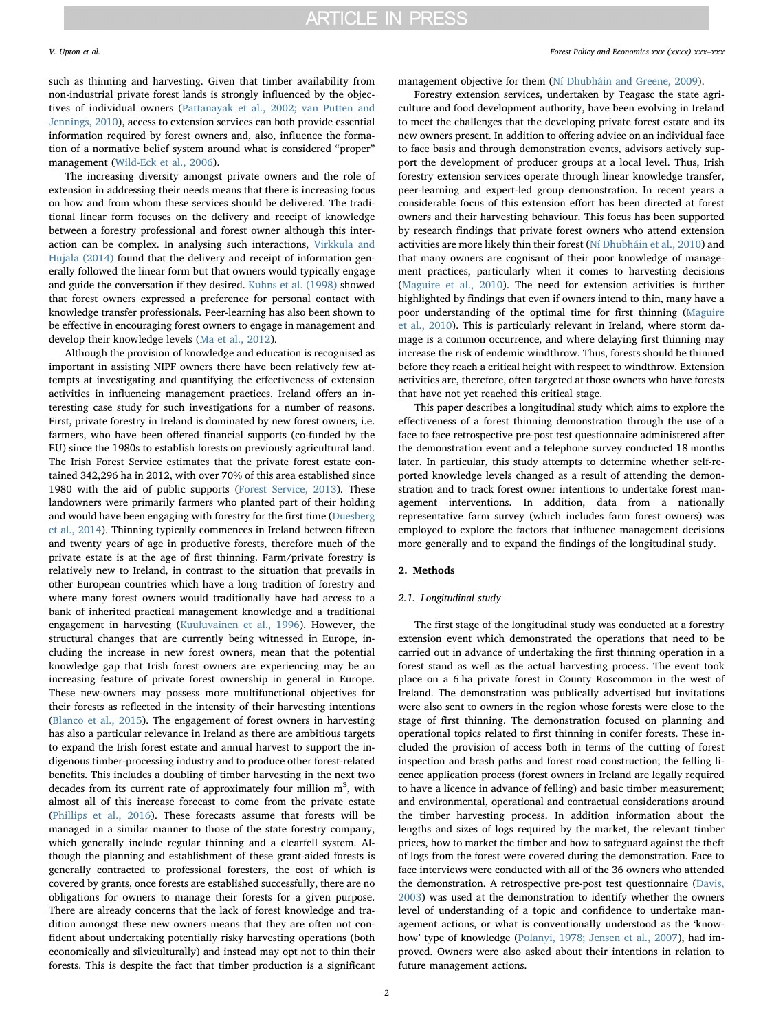such as thinning and harvesting. Given that timber availability from non-industrial private forest lands is strongly influenced by the objectives of individual owners [\(Pattanayak et al., 2002; van Putten and](#page-5-4) [Jennings, 2010\)](#page-5-4), access to extension services can both provide essential information required by forest owners and, also, influence the formation of a normative belief system around what is considered "proper" management ([Wild-Eck et al., 2006\)](#page-5-5).

The increasing diversity amongst private owners and the role of extension in addressing their needs means that there is increasing focus on how and from whom these services should be delivered. The traditional linear form focuses on the delivery and receipt of knowledge between a forestry professional and forest owner although this interaction can be complex. In analysing such interactions, [Virkkula and](#page-5-6) [Hujala \(2014\)](#page-5-6) found that the delivery and receipt of information generally followed the linear form but that owners would typically engage and guide the conversation if they desired. [Kuhns et al. \(1998\)](#page-5-7) showed that forest owners expressed a preference for personal contact with knowledge transfer professionals. Peer-learning has also been shown to be effective in encouraging forest owners to engage in management and develop their knowledge levels ([Ma et al., 2012](#page-5-8)).

Although the provision of knowledge and education is recognised as important in assisting NIPF owners there have been relatively few attempts at investigating and quantifying the effectiveness of extension activities in influencing management practices. Ireland offers an interesting case study for such investigations for a number of reasons. First, private forestry in Ireland is dominated by new forest owners, i.e. farmers, who have been offered financial supports (co-funded by the EU) since the 1980s to establish forests on previously agricultural land. The Irish Forest Service estimates that the private forest estate contained 342,296 ha in 2012, with over 70% of this area established since 1980 with the aid of public supports ([Forest Service, 2013](#page-5-9)). These landowners were primarily farmers who planted part of their holding and would have been engaging with forestry for the first time ([Duesberg](#page-5-10) [et al., 2014](#page-5-10)). Thinning typically commences in Ireland between fifteen and twenty years of age in productive forests, therefore much of the private estate is at the age of first thinning. Farm/private forestry is relatively new to Ireland, in contrast to the situation that prevails in other European countries which have a long tradition of forestry and where many forest owners would traditionally have had access to a bank of inherited practical management knowledge and a traditional engagement in harvesting ([Kuuluvainen et al., 1996\)](#page-5-11). However, the structural changes that are currently being witnessed in Europe, including the increase in new forest owners, mean that the potential knowledge gap that Irish forest owners are experiencing may be an increasing feature of private forest ownership in general in Europe. These new-owners may possess more multifunctional objectives for their forests as reflected in the intensity of their harvesting intentions ([Blanco et al., 2015](#page-5-12)). The engagement of forest owners in harvesting has also a particular relevance in Ireland as there are ambitious targets to expand the Irish forest estate and annual harvest to support the indigenous timber-processing industry and to produce other forest-related benefits. This includes a doubling of timber harvesting in the next two decades from its current rate of approximately four million  $m^3$ , with almost all of this increase forecast to come from the private estate ([Phillips et al., 2016](#page-5-13)). These forecasts assume that forests will be managed in a similar manner to those of the state forestry company, which generally include regular thinning and a clearfell system. Although the planning and establishment of these grant-aided forests is generally contracted to professional foresters, the cost of which is covered by grants, once forests are established successfully, there are no obligations for owners to manage their forests for a given purpose. There are already concerns that the lack of forest knowledge and tradition amongst these new owners means that they are often not confident about undertaking potentially risky harvesting operations (both economically and silviculturally) and instead may opt not to thin their forests. This is despite the fact that timber production is a significant

#### V. Upton et al. *Forest Policy and Economics xxx (xxxx) xxx–xxx*

management objective for them ([Ní Dhubháin and Greene, 2009](#page-5-14)).

Forestry extension services, undertaken by Teagasc the state agriculture and food development authority, have been evolving in Ireland to meet the challenges that the developing private forest estate and its new owners present. In addition to offering advice on an individual face to face basis and through demonstration events, advisors actively support the development of producer groups at a local level. Thus, Irish forestry extension services operate through linear knowledge transfer, peer-learning and expert-led group demonstration. In recent years a considerable focus of this extension effort has been directed at forest owners and their harvesting behaviour. This focus has been supported by research findings that private forest owners who attend extension activities are more likely thin their forest ([Ní Dhubháin et al., 2010\)](#page-5-15) and that many owners are cognisant of their poor knowledge of management practices, particularly when it comes to harvesting decisions ([Maguire et al., 2010](#page-5-16)). The need for extension activities is further highlighted by findings that even if owners intend to thin, many have a poor understanding of the optimal time for first thinning [\(Maguire](#page-5-16) [et al., 2010\)](#page-5-16). This is particularly relevant in Ireland, where storm damage is a common occurrence, and where delaying first thinning may increase the risk of endemic windthrow. Thus, forests should be thinned before they reach a critical height with respect to windthrow. Extension activities are, therefore, often targeted at those owners who have forests that have not yet reached this critical stage.

This paper describes a longitudinal study which aims to explore the effectiveness of a forest thinning demonstration through the use of a face to face retrospective pre-post test questionnaire administered after the demonstration event and a telephone survey conducted 18 months later. In particular, this study attempts to determine whether self-reported knowledge levels changed as a result of attending the demonstration and to track forest owner intentions to undertake forest management interventions. In addition, data from a nationally representative farm survey (which includes farm forest owners) was employed to explore the factors that influence management decisions more generally and to expand the findings of the longitudinal study.

## 2. Methods

## 2.1. Longitudinal study

The first stage of the longitudinal study was conducted at a forestry extension event which demonstrated the operations that need to be carried out in advance of undertaking the first thinning operation in a forest stand as well as the actual harvesting process. The event took place on a 6 ha private forest in County Roscommon in the west of Ireland. The demonstration was publically advertised but invitations were also sent to owners in the region whose forests were close to the stage of first thinning. The demonstration focused on planning and operational topics related to first thinning in conifer forests. These included the provision of access both in terms of the cutting of forest inspection and brash paths and forest road construction; the felling licence application process (forest owners in Ireland are legally required to have a licence in advance of felling) and basic timber measurement; and environmental, operational and contractual considerations around the timber harvesting process. In addition information about the lengths and sizes of logs required by the market, the relevant timber prices, how to market the timber and how to safeguard against the theft of logs from the forest were covered during the demonstration. Face to face interviews were conducted with all of the 36 owners who attended the demonstration. A retrospective pre-post test questionnaire [\(Davis,](#page-5-17) [2003\)](#page-5-17) was used at the demonstration to identify whether the owners level of understanding of a topic and confidence to undertake management actions, or what is conventionally understood as the 'knowhow' type of knowledge ([Polanyi, 1978; Jensen et al., 2007\)](#page-5-18), had improved. Owners were also asked about their intentions in relation to future management actions.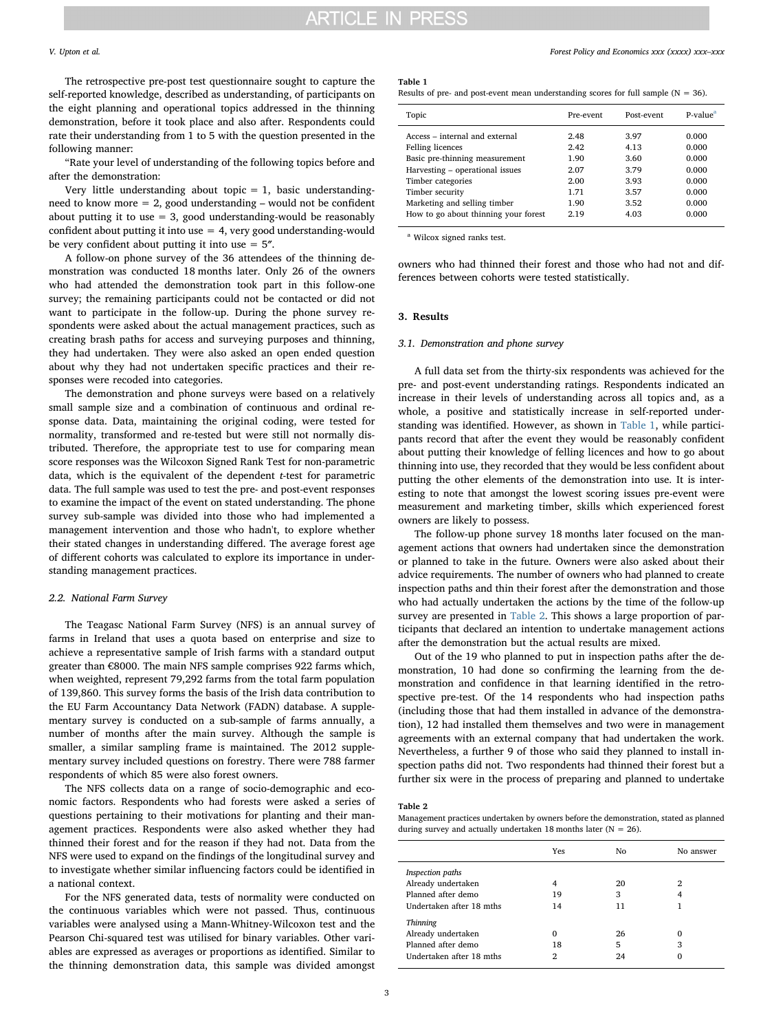# **ARTICLE IN PRESS**

The retrospective pre-post test questionnaire sought to capture the self-reported knowledge, described as understanding, of participants on the eight planning and operational topics addressed in the thinning demonstration, before it took place and also after. Respondents could rate their understanding from 1 to 5 with the question presented in the following manner:

"Rate your level of understanding of the following topics before and after the demonstration:

Very little understanding about topic  $= 1$ , basic understandingneed to know more = 2, good understanding – would not be confident about putting it to use  $= 3$ , good understanding-would be reasonably confident about putting it into use  $= 4$ , very good understanding-would be very confident about putting it into use  $= 5$ ".

A follow-on phone survey of the 36 attendees of the thinning demonstration was conducted 18 months later. Only 26 of the owners who had attended the demonstration took part in this follow-one survey; the remaining participants could not be contacted or did not want to participate in the follow-up. During the phone survey respondents were asked about the actual management practices, such as creating brash paths for access and surveying purposes and thinning, they had undertaken. They were also asked an open ended question about why they had not undertaken specific practices and their responses were recoded into categories.

The demonstration and phone surveys were based on a relatively small sample size and a combination of continuous and ordinal response data. Data, maintaining the original coding, were tested for normality, transformed and re-tested but were still not normally distributed. Therefore, the appropriate test to use for comparing mean score responses was the Wilcoxon Signed Rank Test for non-parametric data, which is the equivalent of the dependent  $t$ -test for parametric data. The full sample was used to test the pre- and post-event responses to examine the impact of the event on stated understanding. The phone survey sub-sample was divided into those who had implemented a management intervention and those who hadn't, to explore whether their stated changes in understanding differed. The average forest age of different cohorts was calculated to explore its importance in understanding management practices.

## 2.2. National Farm Survey

The Teagasc National Farm Survey (NFS) is an annual survey of farms in Ireland that uses a quota based on enterprise and size to achieve a representative sample of Irish farms with a standard output greater than €8000. The main NFS sample comprises 922 farms which, when weighted, represent 79,292 farms from the total farm population of 139,860. This survey forms the basis of the Irish data contribution to the EU Farm Accountancy Data Network (FADN) database. A supplementary survey is conducted on a sub-sample of farms annually, a number of months after the main survey. Although the sample is smaller, a similar sampling frame is maintained. The 2012 supplementary survey included questions on forestry. There were 788 farmer respondents of which 85 were also forest owners.

The NFS collects data on a range of socio-demographic and economic factors. Respondents who had forests were asked a series of questions pertaining to their motivations for planting and their management practices. Respondents were also asked whether they had thinned their forest and for the reason if they had not. Data from the NFS were used to expand on the findings of the longitudinal survey and to investigate whether similar influencing factors could be identified in a national context.

For the NFS generated data, tests of normality were conducted on the continuous variables which were not passed. Thus, continuous variables were analysed using a Mann-Whitney-Wilcoxon test and the Pearson Chi-squared test was utilised for binary variables. Other variables are expressed as averages or proportions as identified. Similar to the thinning demonstration data, this sample was divided amongst

#### V. Upton et al. *Forest Policy and Economics xxx (xxxx) xxx–xxx*

#### <span id="page-2-0"></span>Table 1

Results of pre- and post-event mean understanding scores for full sample ( $N = 36$ ).

| Topic                                                                                                                                                                                                  | Pre-event                                             | Post-event                                           | $P-valuea$                                                  |
|--------------------------------------------------------------------------------------------------------------------------------------------------------------------------------------------------------|-------------------------------------------------------|------------------------------------------------------|-------------------------------------------------------------|
| Access – internal and external<br><b>Felling licences</b><br>Basic pre-thinning measurement<br>Harvesting - operational issues<br>Timber categories<br>Timber security<br>Marketing and selling timber | 2.48<br>2.42<br>1.90<br>2.07<br>2.00<br>1 7 1<br>1.90 | 3.97<br>4.13<br>3.60<br>3.79<br>3.93<br>3.57<br>3.52 | 0.000<br>0.000<br>0.000<br>0.000<br>0.000<br>0.000<br>0.000 |
| How to go about thinning your forest                                                                                                                                                                   | 2.19                                                  | 4.03                                                 | 0.000                                                       |

<span id="page-2-2"></span><sup>a</sup> Wilcox signed ranks test.

owners who had thinned their forest and those who had not and differences between cohorts were tested statistically.

### 3. Results

### 3.1. Demonstration and phone survey

A full data set from the thirty-six respondents was achieved for the pre- and post-event understanding ratings. Respondents indicated an increase in their levels of understanding across all topics and, as a whole, a positive and statistically increase in self-reported understanding was identified. However, as shown in [Table 1,](#page-2-0) while participants record that after the event they would be reasonably confident about putting their knowledge of felling licences and how to go about thinning into use, they recorded that they would be less confident about putting the other elements of the demonstration into use. It is interesting to note that amongst the lowest scoring issues pre-event were measurement and marketing timber, skills which experienced forest owners are likely to possess.

The follow-up phone survey 18 months later focused on the management actions that owners had undertaken since the demonstration or planned to take in the future. Owners were also asked about their advice requirements. The number of owners who had planned to create inspection paths and thin their forest after the demonstration and those who had actually undertaken the actions by the time of the follow-up survey are presented in [Table 2](#page-2-1). This shows a large proportion of participants that declared an intention to undertake management actions after the demonstration but the actual results are mixed.

Out of the 19 who planned to put in inspection paths after the demonstration, 10 had done so confirming the learning from the demonstration and confidence in that learning identified in the retrospective pre-test. Of the 14 respondents who had inspection paths (including those that had them installed in advance of the demonstration), 12 had installed them themselves and two were in management agreements with an external company that had undertaken the work. Nevertheless, a further 9 of those who said they planned to install inspection paths did not. Two respondents had thinned their forest but a further six were in the process of preparing and planned to undertake

<span id="page-2-1"></span>Table 2

Management practices undertaken by owners before the demonstration, stated as planned during survey and actually undertaken 18 months later ( $N = 26$ ).

|                          | Yes | No | No answer                |
|--------------------------|-----|----|--------------------------|
| Inspection paths         |     |    |                          |
| Already undertaken       | 4   | 20 | $\mathfrak{D}_{1}^{(1)}$ |
| Planned after demo       | 19  | 3  | 4                        |
| Undertaken after 18 mths | 14  | 11 |                          |
| <b>Thinning</b>          |     |    |                          |
| Already undertaken       | 0   | 26 | 0                        |
| Planned after demo       | 18  | 5  | 3                        |
| Undertaken after 18 mths | 2   | 24 |                          |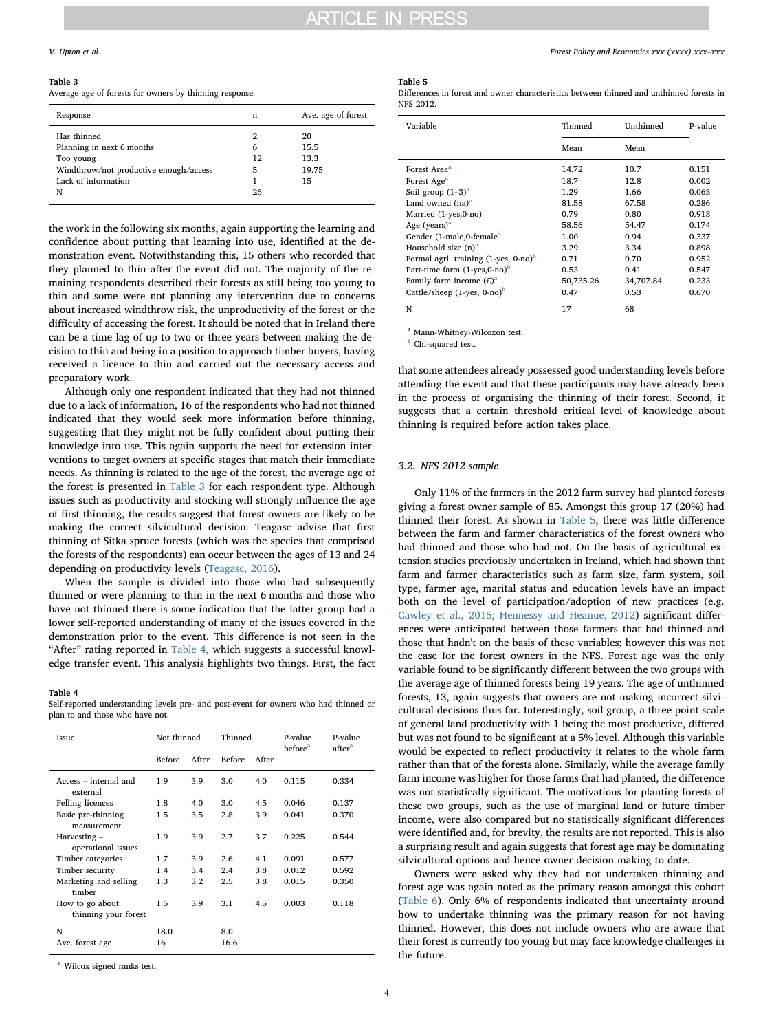#### <span id="page-3-0"></span>Table 3

Average age of forests for owners by thinning response.

| Response                               | n  | Ave. age of forest |
|----------------------------------------|----|--------------------|
| Has thinned                            | 2  | 20                 |
| Planning in next 6 months              | 6  | 15.5               |
| Too young                              | 12 | 13.3               |
| Windthrow/not productive enough/access | 5  | 19.75              |
| Lack of information                    |    | 15                 |
| N                                      | 26 |                    |
|                                        |    |                    |

the work in the following six months, again supporting the learning and confidence about putting that learning into use, identified at the demonstration event. Notwithstanding this, 15 others who recorded that they planned to thin after the event did not. The majority of the remaining respondents described their forests as still being too young to thin and some were not planning any intervention due to concerns about increased windthrow risk, the unproductivity of the forest or the difficulty of accessing the forest. It should be noted that in Ireland there can be a time lag of up to two or three years between making the decision to thin and being in a position to approach timber buyers, having received a licence to thin and carried out the necessary access and preparatory work.

Although only one respondent indicated that they had not thinned due to a lack of information, 16 of the respondents who had not thinned indicated that they would seek more information before thinning, suggesting that they might not be fully confident about putting their knowledge into use. This again supports the need for extension interventions to target owners at specific stages that match their immediate needs. As thinning is related to the age of the forest, the average age of the forest is presented in [Table 3](#page-3-0) for each respondent type. Although issues such as productivity and stocking will strongly influence the age of first thinning, the results suggest that forest owners are likely to be making the correct silvicultural decision. Teagasc advise that first thinning of Sitka spruce forests (which was the species that comprised the forests of the respondents) can occur between the ages of 13 and 24 depending on productivity levels [\(Teagasc, 2016\)](#page-5-19).

When the sample is divided into those who had subsequently thinned or were planning to thin in the next 6 months and those who have not thinned there is some indication that the latter group had a lower self-reported understanding of many of the issues covered in the demonstration prior to the event. This difference is not seen in the "After" rating reported in [Table 4,](#page-3-1) which suggests a successful knowledge transfer event. This analysis highlights two things. First, the fact

#### <span id="page-3-1"></span>Table 4

Self-reported understanding levels pre- and post-event for owners who had thinned or plan to and those who have not.

| <b>Issue</b>                            | Not thinned   |       | Thinned       |       | P-value<br>before <sup>a</sup> | P-value<br>after <sup>a</sup> |
|-----------------------------------------|---------------|-------|---------------|-------|--------------------------------|-------------------------------|
|                                         | <b>Before</b> | After | <b>Before</b> | After |                                |                               |
| Access – internal and<br>external       | 1.9           | 3.9   | 3.0           | 4.0   | 0.115                          | 0.334                         |
| Felling licences                        | 1.8           | 4.0   | 3.0           | 4.5   | 0.046                          | 0.137                         |
| Basic pre-thinning<br>measurement       | 1.5           | 3.5   | 2.8           | 3.9   | 0.041                          | 0.370                         |
| Harvesting -<br>operational issues      | 1.9           | 3.9   | 2.7           | 3.7   | 0.225                          | 0.544                         |
| Timber categories                       | 1.7           | 3.9   | 2.6           | 4.1   | 0.091                          | 0.577                         |
| Timber security                         | 1.4           | 3.4   | 2.4           | 3.8   | 0.012                          | 0.592                         |
| Marketing and selling<br>timber         | 1.3           | 3.2   | 2.5           | 3.8   | 0.015                          | 0.350                         |
| How to go about<br>thinning your forest | 1.5           | 3.9   | 3.1           | 4.5   | 0.003                          | 0.118                         |
| N                                       | 18.0          |       | 8.0           |       |                                |                               |
| Ave. forest age                         | 16            |       | 16.6          |       |                                |                               |

<span id="page-3-3"></span><sup>a</sup> Wilcox signed ranks test.

#### V. Upton et al. *Forest Policy and Economics xxx (xxxx) xxx–xxx*

## <span id="page-3-2"></span>Table 5

Differences in forest and owner characteristics between thinned and unthinned forests in NFS 2012.

| Variable                                               | Thinned   | Unthinned | P-value |
|--------------------------------------------------------|-----------|-----------|---------|
|                                                        | Mean      | Mean      |         |
| Forest Area <sup>a</sup>                               | 14.72     | 10.7      | 0.151   |
| Forest Age <sup>a</sup>                                | 18.7      | 12.8      | 0.002   |
| Soil group $(1-3)^a$                                   | 1.29      | 1.66      | 0.063   |
| Land owned (ha) <sup>a</sup>                           | 81.58     | 67.58     | 0.286   |
| Married $(1$ -yes, 0-no) <sup>b</sup>                  | 0.79      | 0.80      | 0.913   |
| Age (years) <sup>a</sup>                               | 58.56     | 54.47     | 0.174   |
| Gender (1-male,0-female <sup>b</sup>                   | 1.00      | 0.94      | 0.337   |
| Household size $(n)^a$                                 | 3.29      | 3.34      | 0.898   |
| Formal agri. training $(1$ -yes, $0$ -no) <sup>b</sup> | 0.71      | 0.70      | 0.952   |
| Part-time farm $(1$ -yes, 0-no) <sup>b</sup>           | 0.53      | 0.41      | 0.547   |
| Family farm income $(\epsilon)^a$                      | 50,735.26 | 34,707.84 | 0.233   |
| Cattle/sheep $(1$ -yes, $0$ -no) <sup>b</sup>          | 0.47      | 0.53      | 0.670   |
| N                                                      | 17        | 68        |         |

<span id="page-3-4"></span><sup>a</sup> Mann-Whitney-Wilcoxon test.

<span id="page-3-5"></span> $^{\rm b}$  Chi-squared test.

that some attendees already possessed good understanding levels before attending the event and that these participants may have already been in the process of organising the thinning of their forest. Second, it suggests that a certain threshold critical level of knowledge about thinning is required before action takes place.

### 3.2. NFS 2012 sample

Only 11% of the farmers in the 2012 farm survey had planted forests giving a forest owner sample of 85. Amongst this group 17 (20%) had thinned their forest. As shown in [Table 5,](#page-3-2) there was little difference between the farm and farmer characteristics of the forest owners who had thinned and those who had not. On the basis of agricultural extension studies previously undertaken in Ireland, which had shown that farm and farmer characteristics such as farm size, farm system, soil type, farmer age, marital status and education levels have an impact both on the level of participation/adoption of new practices (e.g. [Cawley et al., 2015; Hennessy and Heanue, 2012\)](#page-5-20) significant differences were anticipated between those farmers that had thinned and those that hadn't on the basis of these variables; however this was not the case for the forest owners in the NFS. Forest age was the only variable found to be significantly different between the two groups with the average age of thinned forests being 19 years. The age of unthinned forests, 13, again suggests that owners are not making incorrect silvicultural decisions thus far. Interestingly, soil group, a three point scale of general land productivity with 1 being the most productive, differed but was not found to be significant at a 5% level. Although this variable would be expected to reflect productivity it relates to the whole farm rather than that of the forests alone. Similarly, while the average family farm income was higher for those farms that had planted, the difference was not statistically significant. The motivations for planting forests of these two groups, such as the use of marginal land or future timber income, were also compared but no statistically significant differences were identified and, for brevity, the results are not reported. This is also a surprising result and again suggests that forest age may be dominating silvicultural options and hence owner decision making to date.

Owners were asked why they had not undertaken thinning and forest age was again noted as the primary reason amongst this cohort ([Table 6\)](#page-4-0). Only 6% of respondents indicated that uncertainty around how to undertake thinning was the primary reason for not having thinned. However, this does not include owners who are aware that their forest is currently too young but may face knowledge challenges in the future.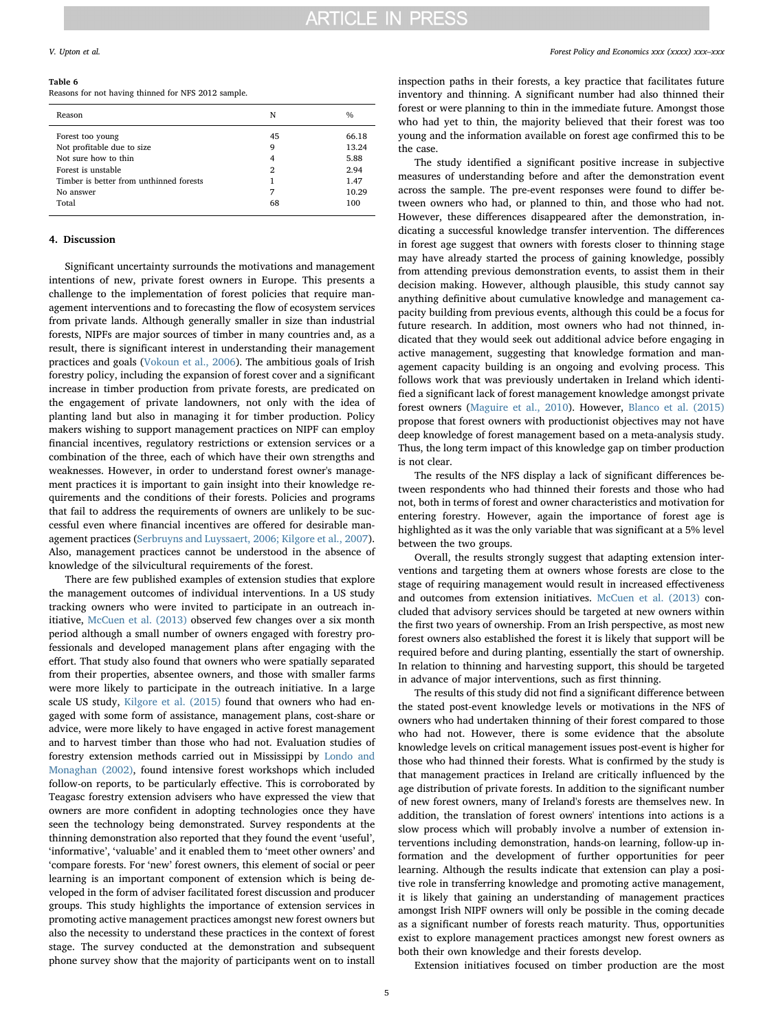#### <span id="page-4-0"></span>Table 6

Reasons for not having thinned for NFS 2012 sample.

| Reason                                  | N              | $\%$  |
|-----------------------------------------|----------------|-------|
| Forest too young                        | 45             | 66.18 |
| Not profitable due to size              | 9              | 13.24 |
| Not sure how to thin                    | 4              | 5.88  |
| Forest is unstable                      | $\overline{2}$ | 2.94  |
| Timber is better from unthinned forests |                | 1.47  |
| No answer                               | 7              | 10.29 |
| Total                                   | 68             | 100   |
|                                         |                |       |

#### 4. Discussion

Significant uncertainty surrounds the motivations and management intentions of new, private forest owners in Europe. This presents a challenge to the implementation of forest policies that require management interventions and to forecasting the flow of ecosystem services from private lands. Although generally smaller in size than industrial forests, NIPFs are major sources of timber in many countries and, as a result, there is significant interest in understanding their management practices and goals ([Vokoun et al., 2006](#page-5-21)). The ambitious goals of Irish forestry policy, including the expansion of forest cover and a significant increase in timber production from private forests, are predicated on the engagement of private landowners, not only with the idea of planting land but also in managing it for timber production. Policy makers wishing to support management practices on NIPF can employ financial incentives, regulatory restrictions or extension services or a combination of the three, each of which have their own strengths and weaknesses. However, in order to understand forest owner's management practices it is important to gain insight into their knowledge requirements and the conditions of their forests. Policies and programs that fail to address the requirements of owners are unlikely to be successful even where financial incentives are offered for desirable management practices ([Serbruyns and Luyssaert, 2006; Kilgore et al., 2007](#page-5-22)). Also, management practices cannot be understood in the absence of knowledge of the silvicultural requirements of the forest.

There are few published examples of extension studies that explore the management outcomes of individual interventions. In a US study tracking owners who were invited to participate in an outreach initiative, [McCuen et al. \(2013\)](#page-5-23) observed few changes over a six month period although a small number of owners engaged with forestry professionals and developed management plans after engaging with the effort. That study also found that owners who were spatially separated from their properties, absentee owners, and those with smaller farms were more likely to participate in the outreach initiative. In a large scale US study, [Kilgore et al. \(2015\)](#page-5-24) found that owners who had engaged with some form of assistance, management plans, cost-share or advice, were more likely to have engaged in active forest management and to harvest timber than those who had not. Evaluation studies of forestry extension methods carried out in Mississippi by [Londo and](#page-5-25) [Monaghan \(2002\),](#page-5-25) found intensive forest workshops which included follow-on reports, to be particularly effective. This is corroborated by Teagasc forestry extension advisers who have expressed the view that owners are more confident in adopting technologies once they have seen the technology being demonstrated. Survey respondents at the thinning demonstration also reported that they found the event 'useful', 'informative', 'valuable' and it enabled them to 'meet other owners' and 'compare forests. For 'new' forest owners, this element of social or peer learning is an important component of extension which is being developed in the form of adviser facilitated forest discussion and producer groups. This study highlights the importance of extension services in promoting active management practices amongst new forest owners but also the necessity to understand these practices in the context of forest stage. The survey conducted at the demonstration and subsequent phone survey show that the majority of participants went on to install

inspection paths in their forests, a key practice that facilitates future inventory and thinning. A significant number had also thinned their forest or were planning to thin in the immediate future. Amongst those who had yet to thin, the majority believed that their forest was too young and the information available on forest age confirmed this to be the case.

The study identified a significant positive increase in subjective measures of understanding before and after the demonstration event across the sample. The pre-event responses were found to differ between owners who had, or planned to thin, and those who had not. However, these differences disappeared after the demonstration, indicating a successful knowledge transfer intervention. The differences in forest age suggest that owners with forests closer to thinning stage may have already started the process of gaining knowledge, possibly from attending previous demonstration events, to assist them in their decision making. However, although plausible, this study cannot say anything definitive about cumulative knowledge and management capacity building from previous events, although this could be a focus for future research. In addition, most owners who had not thinned, indicated that they would seek out additional advice before engaging in active management, suggesting that knowledge formation and management capacity building is an ongoing and evolving process. This follows work that was previously undertaken in Ireland which identified a significant lack of forest management knowledge amongst private forest owners ([Maguire et al., 2010](#page-5-16)). However, [Blanco et al. \(2015\)](#page-5-12) propose that forest owners with productionist objectives may not have deep knowledge of forest management based on a meta-analysis study. Thus, the long term impact of this knowledge gap on timber production is not clear.

The results of the NFS display a lack of significant differences between respondents who had thinned their forests and those who had not, both in terms of forest and owner characteristics and motivation for entering forestry. However, again the importance of forest age is highlighted as it was the only variable that was significant at a 5% level between the two groups.

Overall, the results strongly suggest that adapting extension interventions and targeting them at owners whose forests are close to the stage of requiring management would result in increased effectiveness and outcomes from extension initiatives. [McCuen et al. \(2013\)](#page-5-23) concluded that advisory services should be targeted at new owners within the first two years of ownership. From an Irish perspective, as most new forest owners also established the forest it is likely that support will be required before and during planting, essentially the start of ownership. In relation to thinning and harvesting support, this should be targeted in advance of major interventions, such as first thinning.

The results of this study did not find a significant difference between the stated post-event knowledge levels or motivations in the NFS of owners who had undertaken thinning of their forest compared to those who had not. However, there is some evidence that the absolute knowledge levels on critical management issues post-event is higher for those who had thinned their forests. What is confirmed by the study is that management practices in Ireland are critically influenced by the age distribution of private forests. In addition to the significant number of new forest owners, many of Ireland's forests are themselves new. In addition, the translation of forest owners' intentions into actions is a slow process which will probably involve a number of extension interventions including demonstration, hands-on learning, follow-up information and the development of further opportunities for peer learning. Although the results indicate that extension can play a positive role in transferring knowledge and promoting active management, it is likely that gaining an understanding of management practices amongst Irish NIPF owners will only be possible in the coming decade as a significant number of forests reach maturity. Thus, opportunities exist to explore management practices amongst new forest owners as both their own knowledge and their forests develop.

Extension initiatives focused on timber production are the most